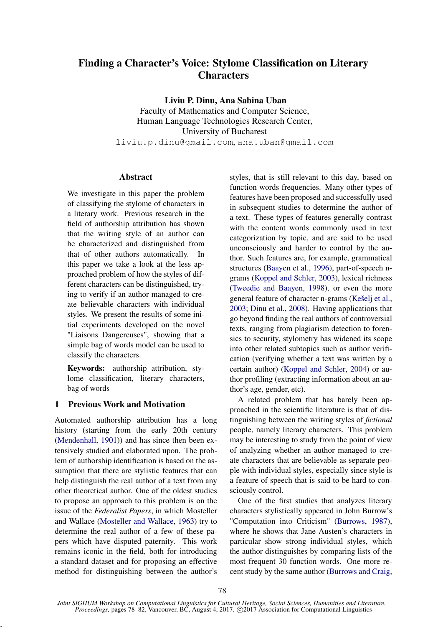# Finding a Character's Voice: Stylome Classification on Literary **Characters**

Liviu P. Dinu, Ana Sabina Uban

Faculty of Mathematics and Computer Science, Human Language Technologies Research Center, University of Bucharest liviu.p.dinu@gmail.com, ana.uban@gmail.com

## **Abstract**

We investigate in this paper the problem of classifying the stylome of characters in a literary work. Previous research in the field of authorship attribution has shown that the writing style of an author can be characterized and distinguished from that of other authors automatically. In this paper we take a look at the less approached problem of how the styles of different characters can be distinguished, trying to verify if an author managed to create believable characters with individual styles. We present the results of some initial experiments developed on the novel "Liaisons Dangereuses", showing that a simple bag of words model can be used to classify the characters.

Keywords: authorship attribution, stylome classification, literary characters, bag of words

## 1 Previous Work and Motivation

Automated authorship attribution has a long history (starting from the early 20th century (Mendenhall, 1901)) and has since then been extensively studied and elaborated upon. The problem of authorship identification is based on the assumption that there are stylistic features that can help distinguish the real author of a text from any other theoretical author. One of the oldest studies to propose an approach to this problem is on the issue of the *Federalist Papers*, in which Mosteller and Wallace (Mosteller and Wallace, 1963) try to determine the real author of a few of these papers which have disputed paternity. This work remains iconic in the field, both for introducing a standard dataset and for proposing an effective method for distinguishing between the author's

,

styles, that is still relevant to this day, based on function words frequencies. Many other types of features have been proposed and successfully used in subsequent studies to determine the author of a text. These types of features generally contrast with the content words commonly used in text categorization by topic, and are said to be used unconsciously and harder to control by the author. Such features are, for example, grammatical structures (Baayen et al., 1996), part-of-speech ngrams (Koppel and Schler, 2003), lexical richness (Tweedie and Baayen, 1998), or even the more general feature of character n-grams (Kešelj et al., 2003; Dinu et al., 2008). Having applications that go beyond finding the real authors of controversial texts, ranging from plagiarism detection to forensics to security, stylometry has widened its scope into other related subtopics such as author verification (verifying whether a text was written by a certain author) (Koppel and Schler, 2004) or author profiling (extracting information about an author's age, gender, etc).

A related problem that has barely been approached in the scientific literature is that of distinguishing between the writing styles of *fictional* people, namely literary characters. This problem may be interesting to study from the point of view of analyzing whether an author managed to create characters that are believable as separate people with individual styles, especially since style is a feature of speech that is said to be hard to consciously control.

One of the first studies that analyzes literary characters stylistically appeared in John Burrow's "Computation into Criticism" (Burrows, 1987), where he shows that Jane Austen's characters in particular show strong individual styles, which the author distinguishes by comparing lists of the most frequent 30 function words. One more recent study by the same author (Burrows and Craig,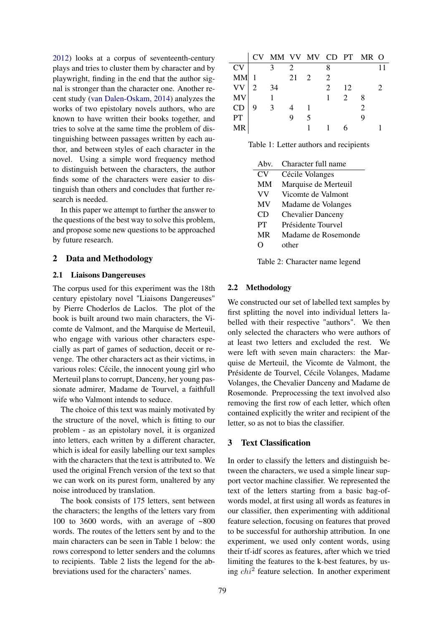2012) looks at a corpus of seventeenth-century plays and tries to cluster them by character and by playwright, finding in the end that the author signal is stronger than the character one. Another recent study (van Dalen-Oskam, 2014) analyzes the works of two epistolary novels authors, who are known to have written their books together, and tries to solve at the same time the problem of distinguishing between passages written by each author, and between styles of each character in the novel. Using a simple word frequency method to distinguish between the characters, the author finds some of the characters were easier to distinguish than others and concludes that further research is needed.

In this paper we attempt to further the answer to the questions of the best way to solve this problem, and propose some new questions to be approached by future research.

#### 2 Data and Methodology

## 2.1 Liaisons Dangereuses

The corpus used for this experiment was the 18th century epistolary novel "Liaisons Dangereuses" by Pierre Choderlos de Laclos. The plot of the book is built around two main characters, the Vicomte de Valmont, and the Marquise de Merteuil, who engage with various other characters especially as part of games of seduction, deceit or revenge. The other characters act as their victims, in various roles: Cécile, the innocent young girl who Merteuil plans to corrupt, Danceny, her young passionate admirer, Madame de Tourvel, a faithfull wife who Valmont intends to seduce.

The choice of this text was mainly motivated by the structure of the novel, which is fitting to our problem - as an epistolary novel, it is organized into letters, each written by a different character, which is ideal for easily labelling our text samples with the characters that the text is attributed to. We used the original French version of the text so that we can work on its purest form, unaltered by any noise introduced by translation.

The book consists of 175 letters, sent between the characters; the lengths of the letters vary from 100 to 3600 words, with an average of  $~500$ words. The routes of the letters sent by and to the main characters can be seen in Table 1 below: the rows correspond to letter senders and the columns to recipients. Table 2 lists the legend for the abbreviations used for the characters' names.

|           |   | CV MM VV MV CD PT MR O |    |   |                             |                             |   |  |
|-----------|---|------------------------|----|---|-----------------------------|-----------------------------|---|--|
| <b>CV</b> |   |                        |    |   |                             |                             |   |  |
| <b>MM</b> |   |                        | 21 | 2 | $\mathcal{D}_{\mathcal{L}}$ |                             |   |  |
| <b>VV</b> | 2 | 34                     |    |   | $\mathcal{D}_{\mathcal{L}}$ | 12                          |   |  |
| MV        |   |                        |    |   |                             | $\mathcal{D}_{\mathcal{L}}$ | 8 |  |
| CD        |   | $\mathcal{R}$          |    |   |                             |                             |   |  |
| PT        |   |                        |    | 5 |                             |                             |   |  |
| MR        |   |                        |    |   |                             |                             |   |  |

Table 1: Letter authors and recipients

| Ahv.      | Character full name      |
|-----------|--------------------------|
| CV        | Cécile Volanges          |
| MМ        | Marquise de Merteuil     |
| VV        | Vicomte de Valmont       |
| MV        | Madame de Volanges       |
| CD        | <b>Chevalier Danceny</b> |
| PT        | Présidente Tourvel       |
| <b>MR</b> | Madame de Rosemonde      |
|           | other                    |
|           |                          |

Table 2: Character name legend

#### 2.2 Methodology

We constructed our set of labelled text samples by first splitting the novel into individual letters labelled with their respective "authors". We then only selected the characters who were authors of at least two letters and excluded the rest. We were left with seven main characters: the Marquise de Merteuil, the Vicomte de Valmont, the Présidente de Tourvel, Cécile Volanges, Madame Volanges, the Chevalier Danceny and Madame de Rosemonde. Preprocessing the text involved also removing the first row of each letter, which often contained explicitly the writer and recipient of the letter, so as not to bias the classifier.

## 3 Text Classification

In order to classify the letters and distinguish between the characters, we used a simple linear support vector machine classifier. We represented the text of the letters starting from a basic bag-ofwords model, at first using all words as features in our classifier, then experimenting with additional feature selection, focusing on features that proved to be successful for authorship attribution. In one experiment, we used only content words, using their tf-idf scores as features, after which we tried limiting the features to the k-best features, by using  $chi^2$  feature selection. In another experiment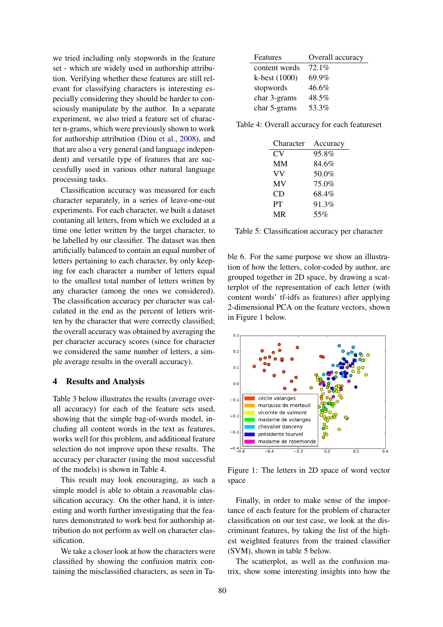we tried including only stopwords in the feature set - which are widely used in authorship attribution. Verifying whether these features are still relevant for classifying characters is interesting especially considering they should be harder to consciously manipulate by the author. In a separate experiment, we also tried a feature set of character n-grams, which were previously shown to work for authorship attribution (Dinu et al., 2008), and that are also a very general (and language independent) and versatile type of features that are successfully used in various other natural language processing tasks.

Classification accuracy was measured for each character separately, in a series of leave-one-out experiments. For each character, we built a dataset contaning all letters, from which we excluded at a time one letter written by the target character, to be labelled by our classifier. The dataset was then artificially balanced to contain an equal number of letters pertaining to each character, by only keeping for each character a number of letters equal to the smallest total number of letters written by any character (among the ones we considered). The classification accuracy per character was calculated in the end as the percent of letters written by the character that were correctly classified; the overall accuracy was obtained by averaging the per character accuracy scores (since for character we considered the same number of letters, a simple average results in the overall accuracy).

#### 4 Results and Analysis

Table 3 below illustrates the results (average overall accuracy) for each of the feature sets used, showing that the simple bag-of-words model, including all content words in the text as features, works well for this problem, and additional feature selection do not improve upon these results. The accuracy per character (using the most successful of the models) is shown in Table 4.

This result may look encouraging, as such a simple model is able to obtain a reasonable classification accuracy. On the other hand, it is interesting and worth further investigating that the features demonstrated to work best for authorship attribution do not perform as well on character classification.

We take a closer look at how the characters were classified by showing the confusion matrix containing the misclassified characters, as seen in Ta-

| Features      | Overall accuracy |  |  |  |  |
|---------------|------------------|--|--|--|--|
| content words | $72.1\%$         |  |  |  |  |
| k-best (1000) | 69.9%            |  |  |  |  |
| stopwords     | 46.6%            |  |  |  |  |
| char 3-grams  | 48.5%            |  |  |  |  |
| char 5-grams  | 53.3%            |  |  |  |  |

Table 4: Overall accuracy for each featureset

| Character | Accuracy |
|-----------|----------|
| CV        | 95.8%    |
| MМ        | 84.6%    |
| VV        | 50.0%    |
| MV        | 75.0%    |
| CD        | 68.4%    |
| PT        | 91.3%    |
| <b>MR</b> | 55%      |

Table 5: Classification accuracy per character

ble 6. For the same purpose we show an illustration of how the letters, color-coded by author, are grouped together in 2D space, by drawing a scatterplot of the representation of each letter (with content words' tf-idfs as features) after applying 2-dimensional PCA on the feature vectors, shown in Figure 1 below.



Figure 1: The letters in 2D space of word vector space

Finally, in order to make sense of the importance of each feature for the problem of character classification on our test case, we look at the discriminant features, by taking the list of the highest weighted features from the trained classifier (SVM), shown in table 5 below.

The scatterplot, as well as the confusion matrix, show some interesting insights into how the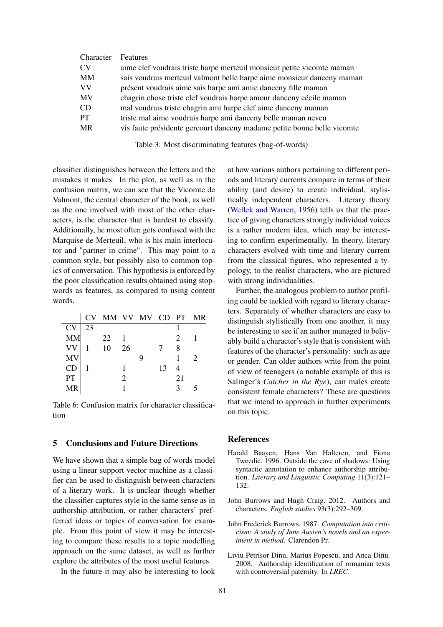| Character | <b>Features</b>                                                         |
|-----------|-------------------------------------------------------------------------|
| <b>CV</b> | aime clef voudrais triste harpe merteuil monsieur petite vicomte maman  |
| MМ        | sais voudrais merteuil valmont belle harpe aime monsieur danceny maman  |
| VV        | présent voudrais aime sais harpe ami amie danceny fille maman           |
| MV        | chagrin chose triste clef voudrais harpe amour danceny cécile maman     |
| CD        | mal voudrais triste chagrin ami harpe clef aime danceny maman           |
| PТ        | triste mal aime voudrais harpe ami danceny belle maman neveu            |
| <b>MR</b> | vis faute présidente gercourt danceny madame petite bonne belle vicomte |
|           |                                                                         |

Table 3: Most discriminating features (bag-of-words)

classifier distinguishes between the letters and the mistakes it makes. In the plot, as well as in the confusion matrix, we can see that the Vicomte de Valmont, the central character of the book, as well as the one involved with most of the other characters, is the character that is hardest to classify. Additionally, he most often gets confused with the Marquise de Merteuil, who is his main interlocutor and "partner in crime". This may point to a common style, but possibly also to common topics of conversation. This hypothesis is enforced by the poor classification results obtained using stopwords as features, as compared to using content words.

|           |    | CV MM VV MV CD PT MR |                |    |    |   |
|-----------|----|----------------------|----------------|----|----|---|
| <b>CV</b> | 23 |                      |                |    |    |   |
| <b>MM</b> |    | 22                   |                |    | 2  |   |
| VV<br>MV  |    | 10                   | 26             |    | 8  |   |
|           |    |                      |                |    |    | 2 |
| CD        |    |                      |                | 13 | 4  |   |
| PT        |    |                      | $\mathfrak{D}$ |    | 21 |   |
| <b>MR</b> |    |                      |                |    |    |   |

Table 6: Confusion matrix for character classification

## 5 Conclusions and Future Directions

We have shown that a simple bag of words model using a linear support vector machine as a classifier can be used to distinguish between characters of a literary work. It is unclear though whether the classifier captures style in the same sense as in authorship attribution, or rather characters' prefferred ideas or topics of conversation for example. From this point of view it may be interesting to compare these results to a topic modelling approach on the same dataset, as well as further explore the attributes of the most useful features.

In the future it may also be interesting to look

at how various authors pertaining to different periods and literary currents compare in terms of their ability (and desire) to create individual, stylistically independent characters. Literary theory (Wellek and Warren, 1956) tells us that the practice of giving characters strongly individual voices is a rather modern idea, which may be interesting to confirm experimentally. In theory, literary characters evolved with time and literary current from the classical figures, who represented a typology, to the realist characters, who are pictured with strong individualities.

Further, the analogous problem to author profiling could be tackled with regard to literary characters. Separately of whether characters are easy to distinguish stylistically from one another, it may be interesting to see if an author managed to belivably build a character's style that is consistent with features of the character's personality: such as age or gender. Can older authors write from the point of view of teenagers (a notable example of this is Salinger's *Catcher in the Rye*), can males create consistent female characters? These are questions that we intend to approach in further experiments on this topic.

#### References

- Harald Baayen, Hans Van Halteren, and Fiona Tweedie. 1996. Outside the cave of shadows: Using syntactic annotation to enhance authorship attribution. *Literary and Linguistic Computing* 11(3):121– 132.
- John Burrows and Hugh Craig. 2012. Authors and characters. *English studies* 93(3):292–309.
- John Frederick Burrows. 1987. *Computation into criticism: A study of Jane Austen's novels and an experiment in method*. Clarendon Pr.
- Liviu Petrisor Dinu, Marius Popescu, and Anca Dinu. 2008. Authorship identification of romanian texts with controversial paternity. In *LREC*.